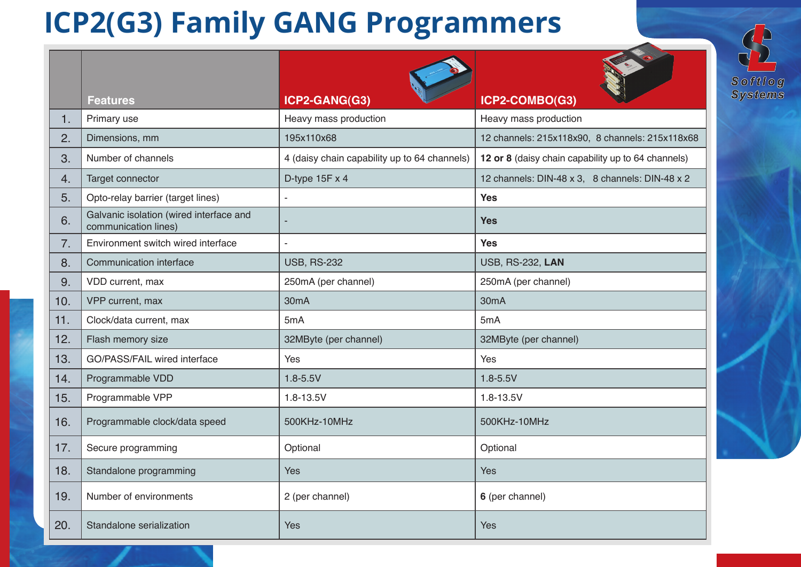## **ICP2(G3) Family GANG Programmers**



 $\left($ 

|     | <b>Features</b>                                                 | <b>CONTROLLER</b><br>ICP2-GANG(G3)           | ICP2-COMBO(G3)                                     |
|-----|-----------------------------------------------------------------|----------------------------------------------|----------------------------------------------------|
| 1.  | Primary use                                                     | Heavy mass production                        | Heavy mass production                              |
| 2.  | Dimensions, mm                                                  | 195x110x68                                   | 12 channels: 215x118x90, 8 channels: 215x118x68    |
| 3.  | Number of channels                                              | 4 (daisy chain capability up to 64 channels) | 12 or 8 (daisy chain capability up to 64 channels) |
| 4.  | Target connector                                                | D-type $15F \times 4$                        | 12 channels: DIN-48 x 3, 8 channels: DIN-48 x 2    |
| 5.  | Opto-relay barrier (target lines)                               | $\blacksquare$                               | <b>Yes</b>                                         |
| 6.  | Galvanic isolation (wired interface and<br>communication lines) |                                              | <b>Yes</b>                                         |
| 7.  | Environment switch wired interface                              |                                              | <b>Yes</b>                                         |
| 8.  | Communication interface                                         | <b>USB, RS-232</b>                           | <b>USB, RS-232, LAN</b>                            |
| 9.  | VDD current, max                                                | 250mA (per channel)                          | 250mA (per channel)                                |
| 10. | VPP current, max                                                | 30 <sub>m</sub> A                            | 30 <sub>m</sub> A                                  |
| 11. | Clock/data current, max                                         | 5mA                                          | 5mA                                                |
| 12. | Flash memory size                                               | 32MByte (per channel)                        | 32MByte (per channel)                              |
| 13. | GO/PASS/FAIL wired interface                                    | Yes                                          | Yes                                                |
| 14. | Programmable VDD                                                | $1.8 - 5.5V$                                 | $1.8 - 5.5V$                                       |
| 15. | Programmable VPP                                                | $1.8 - 13.5V$                                | 1.8-13.5V                                          |
| 16. | Programmable clock/data speed                                   | 500KHz-10MHz                                 | 500KHz-10MHz                                       |
| 17. | Secure programming                                              | Optional                                     | Optional                                           |
| 18. | Standalone programming                                          | <b>Yes</b>                                   | <b>Yes</b>                                         |
| 19. | Number of environments                                          | 2 (per channel)                              | 6 (per channel)                                    |
| 20. | Standalone serialization                                        | <b>Yes</b>                                   | Yes                                                |